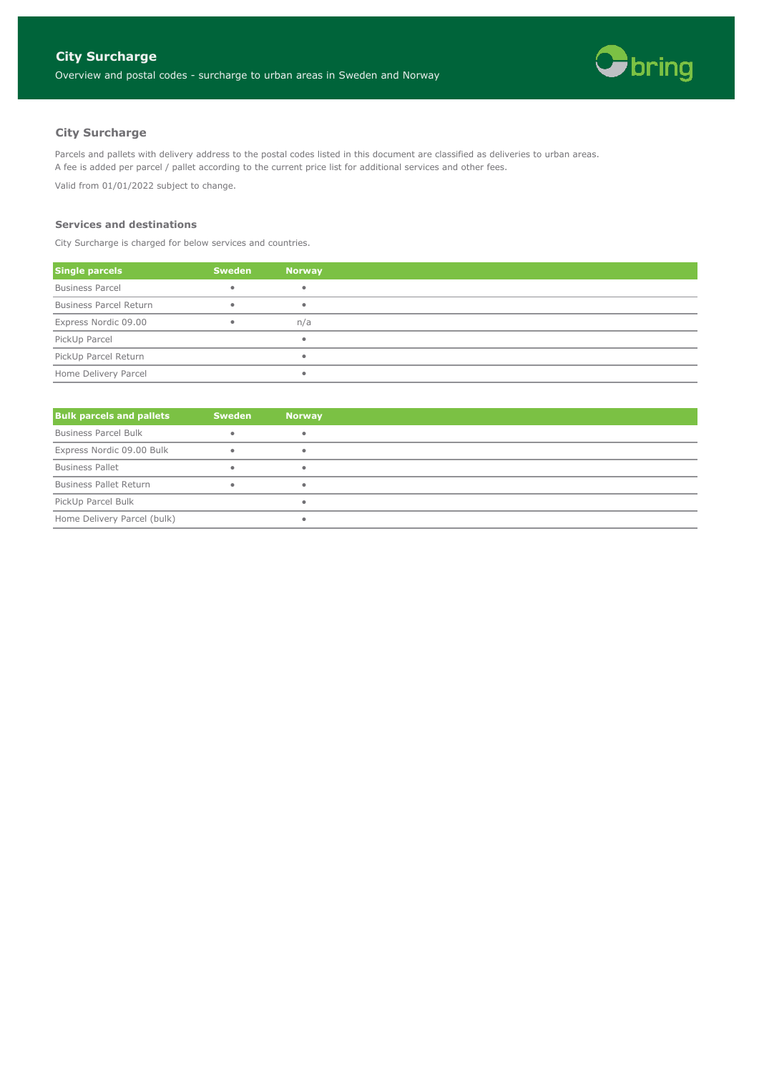

# **City Surcharge**

Parcels and pallets with delivery address to the postal codes listed in this document are classified as deliveries to urban areas. A fee is added per parcel / pallet according to the current price list for additional services and other fees.

Valid from 01/01/2022 subject to change.

#### **Services and destinations**

City Surcharge is charged for below services and countries.

| <b>Single parcels</b>         | <b>Sweden</b> | Norway |
|-------------------------------|---------------|--------|
| <b>Business Parcel</b>        |               |        |
| <b>Business Parcel Return</b> |               |        |
| Express Nordic 09.00          |               | n/a    |
| PickUp Parcel                 |               |        |
| PickUp Parcel Return          |               |        |
| Home Delivery Parcel          |               |        |

| <b>Bulk parcels and pallets</b> | <b>Sweden</b> | <b>Norway</b> |
|---------------------------------|---------------|---------------|
| <b>Business Parcel Bulk</b>     |               |               |
| Express Nordic 09.00 Bulk       |               |               |
| <b>Business Pallet</b>          |               |               |
| <b>Business Pallet Return</b>   |               |               |
| PickUp Parcel Bulk              |               |               |
| Home Delivery Parcel (bulk)     |               |               |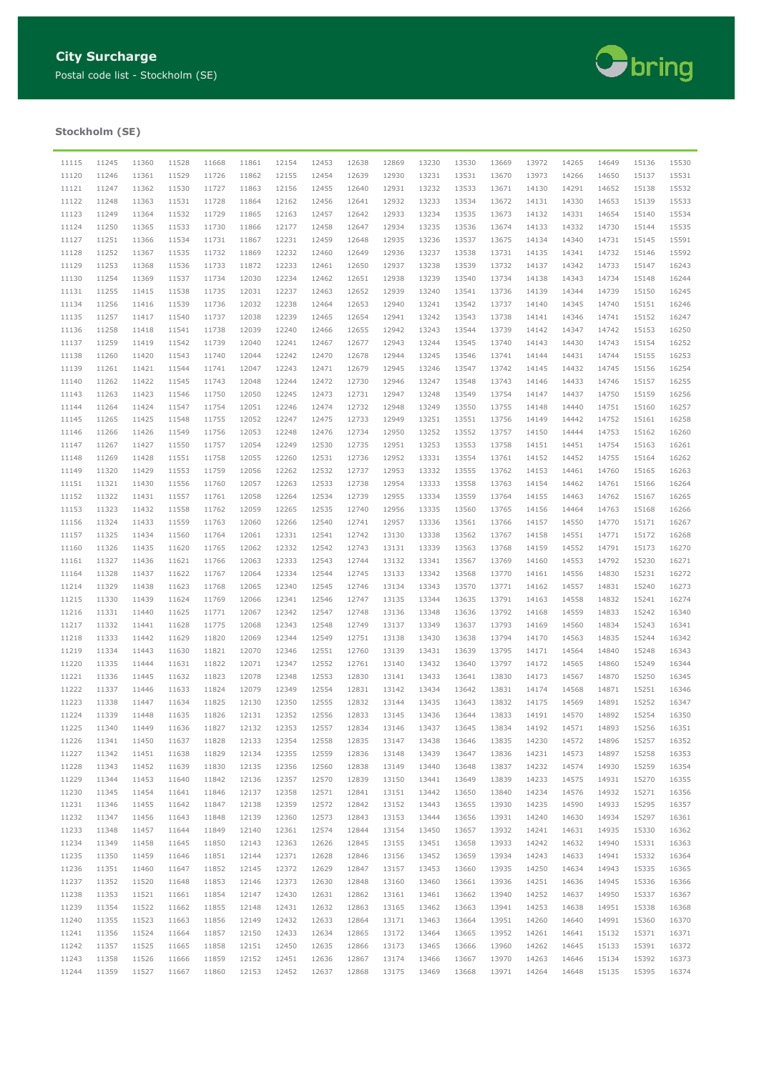

## **Stockholm (SE)**

| 11115 | 11245 | 11360 | 11528 | 11668 | 11861 | 12154 | 12453 | 12638 | 12869 | 13230 | 13530 | 13669 | 13972 | 14265 | 14649 | 15136 | 15530 |
|-------|-------|-------|-------|-------|-------|-------|-------|-------|-------|-------|-------|-------|-------|-------|-------|-------|-------|
|       |       |       |       |       |       |       |       |       |       |       |       |       |       |       |       |       |       |
| 11120 | 11246 | 11361 | 11529 | 11726 | 11862 | 12155 | 12454 | 12639 | 12930 | 13231 | 13531 | 13670 | 13973 | 14266 | 14650 | 15137 | 15531 |
| 11121 | 11247 | 11362 | 11530 | 11727 | 11863 | 12156 | 12455 | 12640 | 12931 | 13232 | 13533 | 13671 | 14130 | 14291 | 14652 | 15138 | 15532 |
| 11122 | 11248 | 11363 | 11531 | 11728 | 11864 | 12162 | 12456 | 12641 | 12932 | 13233 | 13534 | 13672 | 14131 | 14330 | 14653 | 15139 | 15533 |
| 11123 | 11249 | 11364 | 11532 | 11729 | 11865 | 12163 | 12457 | 12642 | 12933 | 13234 | 13535 | 13673 | 14132 | 14331 | 14654 | 15140 | 15534 |
| 11124 | 11250 | 11365 | 11533 | 11730 | 11866 | 12177 | 12458 | 12647 | 12934 | 13235 | 13536 | 13674 | 14133 | 14332 | 14730 | 15144 | 15535 |
| 11127 | 11251 | 11366 | 11534 | 11731 | 11867 | 12231 | 12459 | 12648 | 12935 | 13236 | 13537 | 13675 | 14134 | 14340 | 14731 | 15145 | 15591 |
| 11128 | 11252 | 11367 | 11535 | 11732 | 11869 | 12232 | 12460 | 12649 | 12936 | 13237 | 13538 | 13731 | 14135 | 14341 | 14732 | 15146 | 15592 |
| 11129 | 11253 | 11368 | 11536 | 11733 | 11872 | 12233 | 12461 | 12650 | 12937 | 13238 | 13539 | 13732 | 14137 | 14342 | 14733 | 15147 | 16243 |
|       |       |       |       |       |       |       |       |       |       |       |       |       |       |       |       |       |       |
| 11130 | 11254 | 11369 | 11537 | 11734 | 12030 | 12234 | 12462 | 12651 | 12938 | 13239 | 13540 | 13734 | 14138 | 14343 | 14734 | 15148 | 16244 |
| 11131 | 11255 | 11415 | 11538 | 11735 | 12031 | 12237 | 12463 | 12652 | 12939 | 13240 | 13541 | 13736 | 14139 | 14344 | 14739 | 15150 | 16245 |
| 11134 | 11256 | 11416 | 11539 | 11736 | 12032 | 12238 | 12464 | 12653 | 12940 | 13241 | 13542 | 13737 | 14140 | 14345 | 14740 | 15151 | 16246 |
| 11135 | 11257 | 11417 | 11540 | 11737 | 12038 | 12239 | 12465 | 12654 | 12941 | 13242 | 13543 | 13738 | 14141 | 14346 | 14741 | 15152 | 16247 |
| 11136 | 11258 | 11418 | 11541 | 11738 | 12039 | 12240 | 12466 | 12655 | 12942 | 13243 | 13544 | 13739 | 14142 | 14347 | 14742 | 15153 | 16250 |
| 11137 | 11259 | 11419 | 11542 | 11739 | 12040 | 12241 | 12467 | 12677 | 12943 | 13244 | 13545 | 13740 | 14143 | 14430 | 14743 | 15154 | 16252 |
| 11138 | 11260 | 11420 | 11543 | 11740 | 12044 | 12242 | 12470 | 12678 | 12944 | 13245 | 13546 | 13741 | 14144 | 14431 | 14744 | 15155 | 16253 |
| 11139 | 11261 | 11421 | 11544 | 11741 | 12047 | 12243 | 12471 | 12679 | 12945 | 13246 | 13547 | 13742 | 14145 | 14432 | 14745 | 15156 | 16254 |
| 11140 | 11262 | 11422 | 11545 | 11743 | 12048 | 12244 | 12472 | 12730 | 12946 | 13247 | 13548 | 13743 | 14146 | 14433 | 14746 | 15157 | 16255 |
|       |       |       |       |       |       |       |       |       |       |       |       |       |       |       |       |       |       |
| 11143 | 11263 | 11423 | 11546 | 11750 | 12050 | 12245 | 12473 | 12731 | 12947 | 13248 | 13549 | 13754 | 14147 | 14437 | 14750 | 15159 | 16256 |
| 11144 | 11264 | 11424 | 11547 | 11754 | 12051 | 12246 | 12474 | 12732 | 12948 | 13249 | 13550 | 13755 | 14148 | 14440 | 14751 | 15160 | 16257 |
| 11145 | 11265 | 11425 | 11548 | 11755 | 12052 | 12247 | 12475 | 12733 | 12949 | 13251 | 13551 | 13756 | 14149 | 14442 | 14752 | 15161 | 16258 |
| 11146 | 11266 | 11426 | 11549 | 11756 | 12053 | 12248 | 12476 | 12734 | 12950 | 13252 | 13552 | 13757 | 14150 | 14444 | 14753 | 15162 | 16260 |
| 11147 | 11267 | 11427 | 11550 | 11757 | 12054 | 12249 | 12530 | 12735 | 12951 | 13253 | 13553 | 13758 | 14151 | 14451 | 14754 | 15163 | 16261 |
| 11148 | 11269 | 11428 | 11551 | 11758 | 12055 | 12260 | 12531 | 12736 | 12952 | 13331 | 13554 | 13761 | 14152 | 14452 | 14755 | 15164 | 16262 |
| 11149 | 11320 | 11429 | 11553 | 11759 | 12056 | 12262 | 12532 | 12737 | 12953 | 13332 | 13555 | 13762 | 14153 | 14461 | 14760 | 15165 | 16263 |
| 11151 | 11321 | 11430 | 11556 | 11760 | 12057 | 12263 | 12533 | 12738 | 12954 | 13333 | 13558 | 13763 | 14154 | 14462 | 14761 | 15166 | 16264 |
| 11152 | 11322 | 11431 | 11557 | 11761 | 12058 | 12264 | 12534 | 12739 | 12955 | 13334 | 13559 | 13764 | 14155 | 14463 | 14762 | 15167 | 16265 |
| 11153 | 11323 | 11432 | 11558 |       | 12059 | 12265 | 12535 | 12740 | 12956 |       |       |       |       |       |       |       | 16266 |
|       |       |       |       | 11762 |       |       |       |       |       | 13335 | 13560 | 13765 | 14156 | 14464 | 14763 | 15168 |       |
| 11156 | 11324 | 11433 | 11559 | 11763 | 12060 | 12266 | 12540 | 12741 | 12957 | 13336 | 13561 | 13766 | 14157 | 14550 | 14770 | 15171 | 16267 |
| 11157 | 11325 | 11434 | 11560 | 11764 | 12061 | 12331 | 12541 | 12742 | 13130 | 13338 | 13562 | 13767 | 14158 | 14551 | 14771 | 15172 | 16268 |
| 11160 | 11326 | 11435 | 11620 | 11765 | 12062 | 12332 | 12542 | 12743 | 13131 | 13339 | 13563 | 13768 | 14159 | 14552 | 14791 | 15173 | 16270 |
| 11161 | 11327 | 11436 | 11621 | 11766 | 12063 | 12333 | 12543 | 12744 | 13132 | 13341 | 13567 | 13769 | 14160 | 14553 | 14792 | 15230 | 16271 |
| 11164 | 11328 | 11437 | 11622 | 11767 | 12064 | 12334 | 12544 | 12745 | 13133 | 13342 | 13568 | 13770 | 14161 | 14556 | 14830 | 15231 | 16272 |
| 11214 | 11329 | 11438 | 11623 | 11768 | 12065 | 12340 | 12545 | 12746 | 13134 | 13343 | 13570 | 13771 | 14162 | 14557 | 14831 | 15240 | 16273 |
| 11215 | 11330 | 11439 | 11624 | 11769 | 12066 | 12341 | 12546 | 12747 | 13135 | 13344 | 13635 | 13791 | 14163 | 14558 | 14832 | 15241 | 16274 |
| 11216 | 11331 | 11440 | 11625 | 11771 | 12067 | 12342 | 12547 | 12748 | 13136 | 13348 | 13636 | 13792 | 14168 | 14559 | 14833 | 15242 | 16340 |
| 11217 | 11332 | 11441 | 11628 | 11775 | 12068 | 12343 | 12548 | 12749 | 13137 | 13349 | 13637 | 13793 | 14169 | 14560 | 14834 | 15243 | 16341 |
| 11218 | 11333 | 11442 | 11629 | 11820 | 12069 | 12344 | 12549 | 12751 | 13138 | 13430 | 13638 | 13794 | 14170 | 14563 | 14835 | 15244 |       |
|       |       |       |       |       |       |       |       |       |       |       |       |       |       |       |       |       | 16342 |
| 11219 | 11334 | 11443 | 11630 | 11821 | 12070 | 12346 | 12551 | 12760 | 13139 | 13431 | 13639 | 13795 | 14171 | 14564 | 14840 | 15248 | 16343 |
| 11220 | 11335 | 11444 | 11631 | 11822 | 12071 | 12347 | 12552 | 12761 | 13140 | 13432 | 13640 | 13797 | 14172 | 14565 | 14860 | 15249 | 16344 |
| 11221 | 11336 | 11445 | 11632 | 11823 | 12078 | 12348 | 12553 | 12830 | 13141 | 13433 | 13641 | 13830 | 14173 | 14567 | 14870 | 15250 | 16345 |
| 11222 | 11337 | 11446 | 11633 | 11824 | 12079 | 12349 | 12554 | 12831 | 13142 | 13434 | 13642 | 13831 | 14174 | 14568 | 14871 | 15251 | 16346 |
| 11223 | 11338 | 11447 | 11634 | 11825 | 12130 | 12350 | 12555 | 12832 | 13144 | 13435 | 13643 | 13832 | 14175 | 14569 | 14891 | 15252 | 16347 |
| 11224 | 11339 | 11448 | 11635 | 11826 | 12131 | 12352 | 12556 | 12833 | 13145 | 13436 | 13644 | 13833 | 14191 | 14570 | 14892 | 15254 | 16350 |
| 11225 | 11340 | 11449 | 11636 | 11827 | 12132 | 12353 | 12557 | 12834 | 13146 | 13437 | 13645 | 13834 | 14192 | 14571 | 14893 | 15256 | 16351 |
| 11226 | 11341 | 11450 | 11637 | 11828 | 12133 | 12354 | 12558 | 12835 | 13147 | 13438 | 13646 | 13835 | 14230 | 14572 | 14896 | 15257 | 16352 |
| 11227 | 11342 | 11451 | 11638 | 11829 | 12134 | 12355 | 12559 | 12836 | 13148 | 13439 | 13647 | 13836 | 14231 | 14573 | 14897 | 15258 | 16353 |
|       | 11343 | 11452 | 11639 |       | 12135 |       | 12560 |       | 13149 | 13440 | 13648 | 13837 | 14232 | 14574 | 14930 | 15259 |       |
| 11228 |       |       |       | 11830 |       | 12356 |       | 12838 |       |       |       |       |       |       |       |       | 16354 |
| 11229 | 11344 | 11453 | 11640 | 11842 | 12136 | 12357 | 12570 | 12839 | 13150 | 13441 | 13649 | 13839 | 14233 | 14575 | 14931 | 15270 | 16355 |
| 11230 | 11345 | 11454 | 11641 | 11846 | 12137 | 12358 | 12571 | 12841 | 13151 | 13442 | 13650 | 13840 | 14234 | 14576 | 14932 | 15271 | 16356 |
| 11231 | 11346 | 11455 | 11642 | 11847 | 12138 | 12359 | 12572 | 12842 | 13152 | 13443 | 13655 | 13930 | 14235 | 14590 | 14933 | 15295 | 16357 |
| 11232 | 11347 | 11456 | 11643 | 11848 | 12139 | 12360 | 12573 | 12843 | 13153 | 13444 | 13656 | 13931 | 14240 | 14630 | 14934 | 15297 | 16361 |
| 11233 | 11348 | 11457 | 11644 | 11849 | 12140 | 12361 | 12574 | 12844 | 13154 | 13450 | 13657 | 13932 | 14241 | 14631 | 14935 | 15330 | 16362 |
| 11234 | 11349 | 11458 | 11645 | 11850 | 12143 | 12363 | 12626 | 12845 | 13155 | 13451 | 13658 | 13933 | 14242 | 14632 | 14940 | 15331 | 16363 |
| 11235 | 11350 | 11459 | 11646 | 11851 | 12144 | 12371 | 12628 | 12846 | 13156 | 13452 | 13659 | 13934 | 14243 | 14633 | 14941 | 15332 | 16364 |
| 11236 | 11351 | 11460 | 11647 | 11852 | 12145 | 12372 | 12629 | 12847 | 13157 | 13453 | 13660 | 13935 | 14250 | 14634 | 14943 | 15335 | 16365 |
| 11237 | 11352 | 11520 | 11648 | 11853 | 12146 | 12373 | 12630 | 12848 | 13160 | 13460 | 13661 | 13936 | 14251 | 14636 | 14945 | 15336 | 16366 |
|       |       |       | 11661 |       |       | 12430 |       |       |       |       |       | 13940 |       |       |       |       |       |
| 11238 | 11353 | 11521 |       | 11854 | 12147 |       | 12631 | 12862 | 13161 | 13461 | 13662 |       | 14252 | 14637 | 14950 | 15337 | 16367 |
| 11239 | 11354 | 11522 | 11662 | 11855 | 12148 | 12431 | 12632 | 12863 | 13165 | 13462 | 13663 | 13941 | 14253 | 14638 | 14951 | 15338 | 16368 |
| 11240 | 11355 | 11523 | 11663 | 11856 | 12149 | 12432 | 12633 | 12864 | 13171 | 13463 | 13664 | 13951 | 14260 | 14640 | 14991 | 15360 | 16370 |
| 11241 | 11356 | 11524 | 11664 | 11857 | 12150 | 12433 | 12634 | 12865 | 13172 | 13464 | 13665 | 13952 | 14261 | 14641 | 15132 | 15371 | 16371 |
| 11242 | 11357 | 11525 | 11665 | 11858 | 12151 | 12450 | 12635 | 12866 | 13173 | 13465 | 13666 | 13960 | 14262 | 14645 | 15133 | 15391 | 16372 |
| 11243 | 11358 | 11526 | 11666 | 11859 | 12152 | 12451 | 12636 | 12867 | 13174 | 13466 | 13667 | 13970 | 14263 | 14646 | 15134 | 15392 | 16373 |
| 11244 | 11359 | 11527 | 11667 | 11860 | 12153 | 12452 | 12637 | 12868 | 13175 | 13469 | 13668 | 13971 | 14264 | 14648 | 15135 | 15395 | 16374 |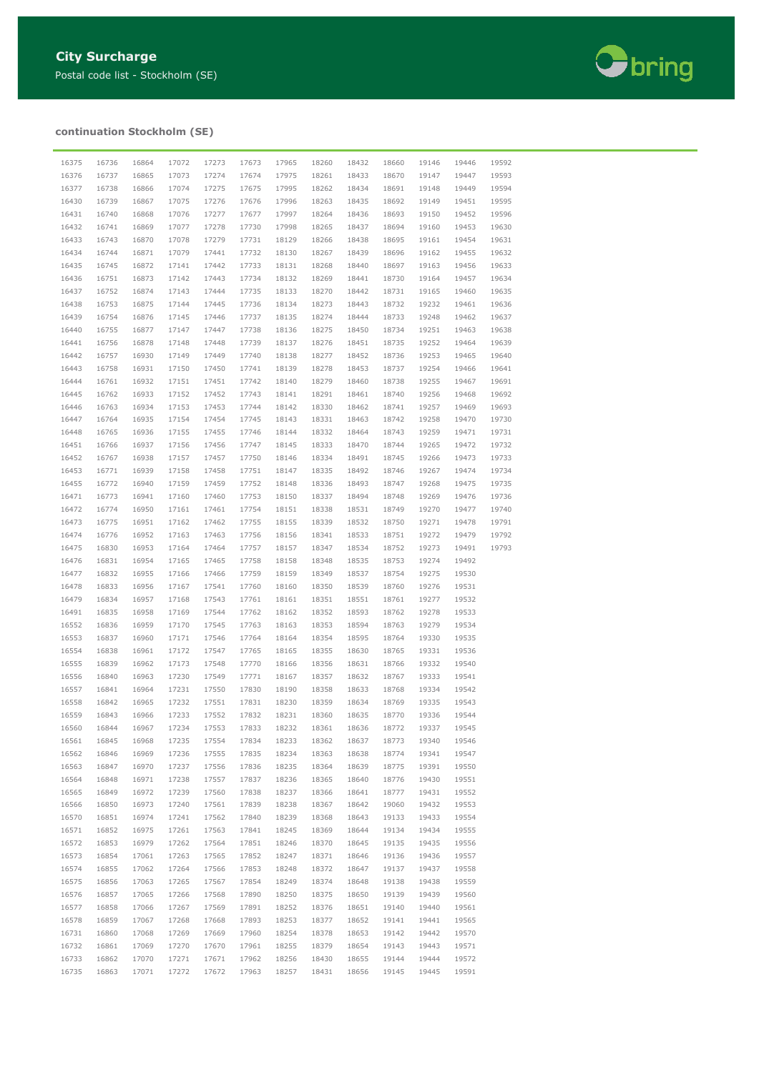

## **continuation Stockholm (SE)**

| 16375 | 16736 | 16864 | 17072 | 17273 | 17673 | 17965 | 18260 | 18432 | 18660 | 19146 | 19446 | 19592 |
|-------|-------|-------|-------|-------|-------|-------|-------|-------|-------|-------|-------|-------|
| 16376 | 16737 | 16865 | 17073 | 17274 | 17674 | 17975 | 18261 | 18433 | 18670 | 19147 | 19447 | 19593 |
| 16377 | 16738 | 16866 | 17074 | 17275 | 17675 | 17995 | 18262 | 18434 | 18691 | 19148 | 19449 | 19594 |
| 16430 | 16739 | 16867 | 17075 | 17276 | 17676 | 17996 | 18263 | 18435 | 18692 | 19149 | 19451 | 19595 |
|       |       |       |       |       |       |       |       |       |       |       |       |       |
| 16431 | 16740 | 16868 | 17076 | 17277 | 17677 | 17997 | 18264 | 18436 | 18693 | 19150 | 19452 | 19596 |
| 16432 | 16741 | 16869 | 17077 | 17278 | 17730 | 17998 | 18265 | 18437 | 18694 | 19160 | 19453 | 19630 |
| 16433 | 16743 | 16870 | 17078 | 17279 | 17731 | 18129 | 18266 | 18438 | 18695 | 19161 | 19454 | 19631 |
| 16434 | 16744 | 16871 | 17079 | 17441 | 17732 | 18130 | 18267 | 18439 | 18696 | 19162 | 19455 | 19632 |
| 16435 | 16745 | 16872 | 17141 | 17442 | 17733 | 18131 | 18268 | 18440 | 18697 | 19163 | 19456 | 19633 |
| 16436 | 16751 | 16873 | 17142 | 17443 | 17734 | 18132 | 18269 | 18441 | 18730 | 19164 | 19457 | 19634 |
| 16437 | 16752 | 16874 | 17143 | 17444 | 17735 | 18133 | 18270 | 18442 | 18731 | 19165 | 19460 | 19635 |
| 16438 | 16753 | 16875 | 17144 | 17445 | 17736 | 18134 | 18273 | 18443 | 18732 | 19232 | 19461 | 19636 |
| 16439 | 16754 | 16876 | 17145 | 17446 | 17737 | 18135 | 18274 | 18444 | 18733 | 19248 | 19462 | 19637 |
| 16440 | 16755 | 16877 | 17147 | 17447 | 17738 | 18136 | 18275 | 18450 | 18734 | 19251 | 19463 | 19638 |
| 16441 | 16756 | 16878 | 17148 | 17448 | 17739 | 18137 | 18276 | 18451 | 18735 | 19252 | 19464 | 19639 |
| 16442 | 16757 | 16930 | 17149 | 17449 | 17740 | 18138 | 18277 | 18452 | 18736 | 19253 | 19465 | 19640 |
|       |       |       |       |       |       |       |       |       |       |       | 19466 |       |
| 16443 | 16758 | 16931 | 17150 | 17450 | 17741 | 18139 | 18278 | 18453 | 18737 | 19254 |       | 19641 |
| 16444 | 16761 | 16932 | 17151 | 17451 | 17742 | 18140 | 18279 | 18460 | 18738 | 19255 | 19467 | 19691 |
| 16445 | 16762 | 16933 | 17152 | 17452 | 17743 | 18141 | 18291 | 18461 | 18740 | 19256 | 19468 | 19692 |
| 16446 | 16763 | 16934 | 17153 | 17453 | 17744 | 18142 | 18330 | 18462 | 18741 | 19257 | 19469 | 19693 |
| 16447 | 16764 | 16935 | 17154 | 17454 | 17745 | 18143 | 18331 | 18463 | 18742 | 19258 | 19470 | 19730 |
| 16448 | 16765 | 16936 | 17155 | 17455 | 17746 | 18144 | 18332 | 18464 | 18743 | 19259 | 19471 | 19731 |
| 16451 | 16766 | 16937 | 17156 | 17456 | 17747 | 18145 | 18333 | 18470 | 18744 | 19265 | 19472 | 19732 |
| 16452 | 16767 | 16938 | 17157 | 17457 | 17750 | 18146 | 18334 | 18491 | 18745 | 19266 | 19473 | 19733 |
| 16453 | 16771 | 16939 | 17158 | 17458 | 17751 | 18147 | 18335 | 18492 | 18746 | 19267 | 19474 | 19734 |
| 16455 | 16772 | 16940 | 17159 | 17459 | 17752 | 18148 | 18336 | 18493 | 18747 | 19268 | 19475 | 19735 |
| 16471 | 16773 | 16941 | 17160 | 17460 | 17753 | 18150 | 18337 | 18494 | 18748 | 19269 | 19476 | 19736 |
| 16472 | 16774 | 16950 | 17161 | 17461 | 17754 | 18151 | 18338 | 18531 | 18749 | 19270 | 19477 | 19740 |
| 16473 | 16775 | 16951 | 17162 | 17462 | 17755 | 18155 | 18339 | 18532 | 18750 | 19271 | 19478 | 19791 |
| 16474 | 16776 | 16952 | 17163 | 17463 | 17756 | 18156 | 18341 | 18533 | 18751 | 19272 | 19479 | 19792 |
| 16475 | 16830 | 16953 | 17164 | 17464 | 17757 | 18157 | 18347 | 18534 | 18752 | 19273 | 19491 | 19793 |
| 16476 | 16831 | 16954 | 17165 | 17465 | 17758 | 18158 | 18348 | 18535 | 18753 | 19274 | 19492 |       |
| 16477 | 16832 | 16955 | 17166 | 17466 | 17759 | 18159 | 18349 | 18537 | 18754 | 19275 | 19530 |       |
| 16478 | 16833 | 16956 | 17167 | 17541 | 17760 | 18160 | 18350 | 18539 | 18760 | 19276 | 19531 |       |
| 16479 | 16834 | 16957 | 17168 | 17543 | 17761 | 18161 | 18351 | 18551 | 18761 | 19277 | 19532 |       |
|       |       |       |       | 17544 | 17762 |       |       | 18593 | 18762 |       | 19533 |       |
| 16491 | 16835 | 16958 | 17169 |       |       | 18162 | 18352 |       |       | 19278 |       |       |
| 16552 | 16836 | 16959 | 17170 | 17545 | 17763 | 18163 | 18353 | 18594 | 18763 | 19279 | 19534 |       |
| 16553 | 16837 | 16960 | 17171 | 17546 | 17764 | 18164 | 18354 | 18595 | 18764 | 19330 | 19535 |       |
| 16554 | 16838 | 16961 | 17172 | 17547 | 17765 | 18165 | 18355 | 18630 | 18765 | 19331 | 19536 |       |
| 16555 | 16839 | 16962 | 17173 | 17548 | 17770 | 18166 | 18356 | 18631 | 18766 | 19332 | 19540 |       |
| 16556 | 16840 | 16963 | 17230 | 17549 | 17771 | 18167 | 18357 | 18632 | 18767 | 19333 | 19541 |       |
| 16557 | 16841 | 16964 | 17231 | 17550 | 17830 | 18190 | 18358 | 18633 | 18768 | 19334 | 19542 |       |
| 16558 | 16842 | 16965 | 17232 | 17551 | 17831 | 18230 | 18359 | 18634 | 18769 | 19335 | 19543 |       |
| 16559 | 16843 | 16966 | 17233 | 17552 | 17832 | 18231 | 18360 | 18635 | 18770 | 19336 | 19544 |       |
| 16560 | 16844 | 16967 | 17234 | 17553 | 17833 | 18232 | 18361 | 18636 | 18772 | 19337 | 19545 |       |
| 16561 | 16845 | 16968 | 17235 | 17554 | 17834 | 18233 | 18362 | 18637 | 18773 | 19340 | 19546 |       |
| 16562 | 16846 | 16969 | 17236 | 17555 | 17835 | 18234 | 18363 | 18638 | 18774 | 19341 | 19547 |       |
| 16563 | 16847 | 16970 | 17237 | 17556 | 17836 | 18235 | 18364 | 18639 | 18775 | 19391 | 19550 |       |
| 16564 | 16848 | 16971 | 17238 | 17557 | 17837 | 18236 | 18365 | 18640 | 18776 | 19430 | 19551 |       |
| 16565 | 16849 | 16972 | 17239 | 17560 | 17838 | 18237 | 18366 | 18641 | 18777 | 19431 | 19552 |       |
| 16566 | 16850 | 16973 | 17240 | 17561 | 17839 | 18238 | 18367 | 18642 | 19060 | 19432 | 19553 |       |
| 16570 | 16851 | 16974 | 17241 | 17562 | 17840 | 18239 | 18368 | 18643 | 19133 | 19433 | 19554 |       |
|       |       |       |       |       |       |       |       |       |       |       |       |       |
| 16571 | 16852 | 16975 | 17261 | 17563 | 17841 | 18245 | 18369 | 18644 | 19134 | 19434 | 19555 |       |
| 16572 | 16853 | 16979 | 17262 | 17564 | 17851 | 18246 | 18370 | 18645 | 19135 | 19435 | 19556 |       |
| 16573 | 16854 | 17061 | 17263 | 17565 | 17852 | 18247 | 18371 | 18646 | 19136 | 19436 | 19557 |       |
| 16574 | 16855 | 17062 | 17264 | 17566 | 17853 | 18248 | 18372 | 18647 | 19137 | 19437 | 19558 |       |
| 16575 | 16856 | 17063 | 17265 | 17567 | 17854 | 18249 | 18374 | 18648 | 19138 | 19438 | 19559 |       |
| 16576 | 16857 | 17065 | 17266 | 17568 | 17890 | 18250 | 18375 | 18650 | 19139 | 19439 | 19560 |       |
| 16577 | 16858 | 17066 | 17267 | 17569 | 17891 | 18252 | 18376 | 18651 | 19140 | 19440 | 19561 |       |
| 16578 | 16859 | 17067 | 17268 | 17668 | 17893 | 18253 | 18377 | 18652 | 19141 | 19441 | 19565 |       |
| 16731 | 16860 | 17068 | 17269 | 17669 | 17960 | 18254 | 18378 | 18653 | 19142 | 19442 | 19570 |       |
| 16732 | 16861 | 17069 | 17270 | 17670 | 17961 | 18255 | 18379 | 18654 | 19143 | 19443 | 19571 |       |
| 16733 | 16862 | 17070 | 17271 | 17671 | 17962 | 18256 | 18430 | 18655 | 19144 | 19444 | 19572 |       |
| 16735 | 16863 | 17071 | 17272 | 17672 | 17963 | 18257 | 18431 | 18656 | 19145 | 19445 | 19591 |       |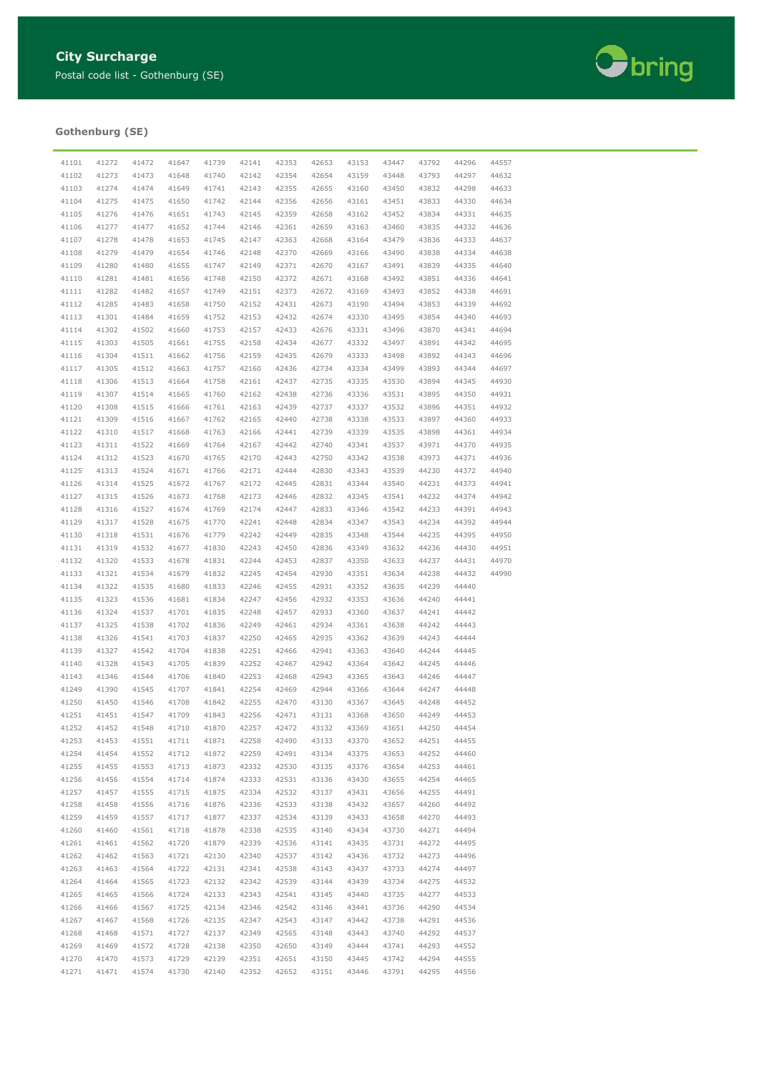

## **Gothenburg (SE)**

| 41101 | 41272 | 41472 | 41647 | 41739 | 42141 | 42353 | 42653 | 43153 | 43447          | 43792 | 44296 | 44557 |
|-------|-------|-------|-------|-------|-------|-------|-------|-------|----------------|-------|-------|-------|
| 41102 | 41273 | 41473 | 41648 | 41740 | 42142 | 42354 | 42654 | 43159 | 43448          | 43793 | 44297 | 44632 |
| 41103 | 41274 | 41474 | 41649 | 41741 | 42143 | 42355 | 42655 | 43160 | 43450          | 43832 | 44298 | 44633 |
| 41104 | 41275 | 41475 | 41650 | 41742 | 42144 | 42356 | 42656 | 43161 | 43451          | 43833 | 44330 | 44634 |
| 41105 | 41276 | 41476 | 41651 | 41743 | 42145 | 42359 | 42658 | 43162 | 43452          | 43834 | 44331 | 44635 |
| 41106 | 41277 | 41477 | 41652 | 41744 | 42146 | 42361 | 42659 | 43163 | 43460          | 43835 | 44332 | 44636 |
| 41107 | 41278 | 41478 | 41653 | 41745 | 42147 | 42363 | 42668 | 43164 | 43479          | 43836 | 44333 | 44637 |
| 41108 | 41279 | 41479 | 41654 | 41746 | 42148 | 42370 | 42669 | 43166 | 43490          | 43838 | 44334 | 44638 |
| 41109 | 41280 | 41480 | 41655 | 41747 | 42149 | 42371 | 42670 | 43167 | 43491          | 43839 | 44335 | 44640 |
| 41110 | 41281 | 41481 | 41656 | 41748 | 42150 | 42372 | 42671 | 43168 | 43492          | 43851 | 44336 | 44641 |
| 41111 | 41282 | 41482 | 41657 | 41749 | 42151 | 42373 | 42672 | 43169 | 43493          | 43852 | 44338 | 44691 |
|       | 41285 |       |       |       | 42152 |       |       |       | 43494          |       |       | 44692 |
| 41112 |       | 41483 | 41658 | 41750 |       | 42431 | 42673 | 43190 |                | 43853 | 44339 | 44693 |
| 41113 | 41301 | 41484 | 41659 | 41752 | 42153 | 42432 | 42674 | 43330 | 43495          | 43854 | 44340 |       |
| 41114 | 41302 | 41502 | 41660 | 41753 | 42157 | 42433 | 42676 | 43331 | 43496          | 43870 | 44341 | 44694 |
| 41115 | 41303 | 41505 | 41661 | 41755 | 42158 | 42434 | 42677 | 43332 | 43497          | 43891 | 44342 | 44695 |
| 41116 | 41304 | 41511 | 41662 | 41756 | 42159 | 42435 | 42679 | 43333 | 43498          | 43892 | 44343 | 44696 |
| 41117 | 41305 | 41512 | 41663 | 41757 | 42160 | 42436 | 42734 | 43334 | 43499          | 43893 | 44344 | 44697 |
| 41118 | 41306 | 41513 | 41664 | 41758 | 42161 | 42437 | 42735 | 43335 | 43530          | 43894 | 44345 | 44930 |
| 41119 | 41307 | 41514 | 41665 | 41760 | 42162 | 42438 | 42736 | 43336 | 43531          | 43895 | 44350 | 44931 |
| 41120 | 41308 | 41515 | 41666 | 41761 | 42163 | 42439 | 42737 | 43337 | 43532          | 43896 | 44351 | 44932 |
| 41121 | 41309 | 41516 | 41667 | 41762 | 42165 | 42440 | 42738 | 43338 | 43533          | 43897 | 44360 | 44933 |
| 41122 | 41310 | 41517 | 41668 | 41763 | 42166 | 42441 | 42739 | 43339 | 43535          | 43898 | 44361 | 44934 |
| 41123 | 41311 | 41522 | 41669 | 41764 | 42167 | 42442 | 42740 | 43341 | 43537          | 43971 | 44370 | 44935 |
| 41124 | 41312 | 41523 | 41670 | 41765 | 42170 | 42443 | 42750 | 43342 | 43538          | 43973 | 44371 | 44936 |
| 41125 | 41313 | 41524 | 41671 | 41766 | 42171 | 42444 | 42830 | 43343 | 43539          | 44230 | 44372 | 44940 |
| 41126 | 41314 | 41525 | 41672 | 41767 | 42172 | 42445 | 42831 | 43344 | 43540          | 44231 | 44373 | 44941 |
| 41127 | 41315 | 41526 | 41673 | 41768 | 42173 | 42446 | 42832 | 43345 | 43541          | 44232 | 44374 | 44942 |
| 41128 | 41316 | 41527 | 41674 | 41769 | 42174 | 42447 | 42833 | 43346 | 43542          | 44233 | 44391 | 44943 |
| 41129 | 41317 | 41528 | 41675 | 41770 | 42241 | 42448 | 42834 | 43347 | 43543          | 44234 | 44392 | 44944 |
| 41130 | 41318 | 41531 | 41676 | 41779 | 42242 | 42449 | 42835 | 43348 | 43544          | 44235 | 44395 | 44950 |
| 41131 | 41319 | 41532 | 41677 | 41830 | 42243 | 42450 | 42836 | 43349 | 43632          | 44236 | 44430 | 44951 |
| 41132 | 41320 | 41533 | 41678 | 41831 | 42244 | 42453 | 42837 | 43350 | 43633          | 44237 | 44431 | 44970 |
| 41133 | 41321 | 41534 | 41679 | 41832 | 42245 | 42454 | 42930 | 43351 | 43634          | 44238 | 44432 | 44990 |
| 41134 | 41322 | 41535 | 41680 | 41833 | 42246 | 42455 | 42931 | 43352 | 43635          | 44239 | 44440 |       |
| 41135 | 41323 | 41536 | 41681 | 41834 | 42247 | 42456 | 42932 | 43353 | 43636          | 44240 | 44441 |       |
| 41136 | 41324 | 41537 | 41701 | 41835 | 42248 | 42457 | 42933 | 43360 | 43637          | 44241 | 44442 |       |
| 41137 | 41325 | 41538 | 41702 | 41836 | 42249 | 42461 | 42934 | 43361 | 43638          | 44242 | 44443 |       |
| 41138 | 41326 | 41541 | 41703 | 41837 | 42250 | 42465 | 42935 | 43362 | 43639          | 44243 | 44444 |       |
| 41139 | 41327 | 41542 | 41704 | 41838 | 42251 | 42466 | 42941 | 43363 | 43640          | 44244 | 44445 |       |
| 41140 | 41328 | 41543 | 41705 | 41839 | 42252 | 42467 | 42942 | 43364 | 43642          | 44245 | 44446 |       |
| 41143 | 41346 | 41544 | 41706 | 41840 | 42253 | 42468 | 42943 | 43365 | 43643          | 44246 | 44447 |       |
| 41249 | 41390 | 41545 | 41707 | 41841 | 42254 | 42469 | 42944 | 43366 | 43644          | 44247 | 44448 |       |
| 41250 | 41450 | 41546 | 41708 | 41842 | 42255 | 42470 | 43130 | 43367 | 43645          | 44248 | 44452 |       |
| 41251 | 41451 | 41547 | 41709 | 41843 | 42256 | 42471 | 43131 | 43368 | 43650          | 44249 | 44453 |       |
| 41252 | 41452 | 41548 | 41710 | 41870 | 42257 | 42472 | 43132 | 43369 | 43651          | 44250 | 44454 |       |
| 41253 | 41453 | 41551 | 41711 | 41871 | 42258 | 42490 | 43133 | 43370 | 43652          | 44251 | 44455 |       |
| 41254 | 41454 | 41552 | 41712 | 41872 | 42259 | 42491 | 43134 | 43375 | 43653          | 44252 | 44460 |       |
| 41255 | 41455 | 41553 | 41713 | 41873 | 42332 | 42530 | 43135 | 43376 | 43654          | 44253 | 44461 |       |
| 41256 | 41456 | 41554 | 41714 | 41874 | 42333 | 42531 | 43136 | 43430 | 43655          | 44254 | 44465 |       |
| 41257 | 41457 | 41555 | 41715 | 41875 | 42334 | 42532 | 43137 | 43431 | 43656          | 44255 | 44491 |       |
| 41258 | 41458 | 41556 | 41716 | 41876 | 42336 | 42533 | 43138 | 43432 | 43657          | 44260 | 44492 |       |
| 41259 | 41459 | 41557 | 41717 | 41877 | 42337 | 42534 | 43139 | 43433 | 43658          | 44270 | 44493 |       |
| 41260 | 41460 | 41561 | 41718 | 41878 | 42338 | 42535 | 43140 | 43434 | 43730          | 44271 | 44494 |       |
| 41261 | 41461 | 41562 | 41720 | 41879 | 42339 | 42536 | 43141 | 43435 | 43731          | 44272 | 44495 |       |
| 41262 | 41462 | 41563 | 41721 | 42130 | 42340 | 42537 | 43142 | 43436 | 43732          | 44273 | 44496 |       |
| 41263 | 41463 | 41564 | 41722 | 42131 | 42341 | 42538 | 43143 | 43437 | 43733          | 44274 | 44497 |       |
| 41264 | 41464 | 41565 | 41723 | 42132 | 42342 | 42539 | 43144 | 43439 | 43734          | 44275 | 44532 |       |
| 41265 | 41465 | 41566 | 41724 | 42133 | 42343 | 42541 | 43145 | 43440 | 43735          | 44277 | 44533 |       |
| 41266 | 41466 | 41567 | 41725 | 42134 | 42346 | 42542 | 43146 | 43441 |                | 44290 | 44534 |       |
| 41267 | 41467 | 41568 | 41726 | 42135 | 42347 | 42543 | 43147 | 43442 | 43736<br>43738 | 44291 | 44536 |       |
|       |       |       |       |       |       |       |       |       |                |       |       |       |
| 41268 | 41468 | 41571 | 41727 | 42137 | 42349 | 42565 | 43148 | 43443 | 43740          | 44292 | 44537 |       |
| 41269 | 41469 | 41572 | 41728 | 42138 | 42350 | 42650 | 43149 | 43444 | 43741          | 44293 | 44552 |       |
| 41270 | 41470 | 41573 | 41729 | 42139 | 42351 | 42651 | 43150 | 43445 | 43742          | 44294 | 44555 |       |
| 41271 | 41471 | 41574 | 41730 | 42140 | 42352 | 42652 | 43151 | 43446 | 43791          | 44295 | 44556 |       |